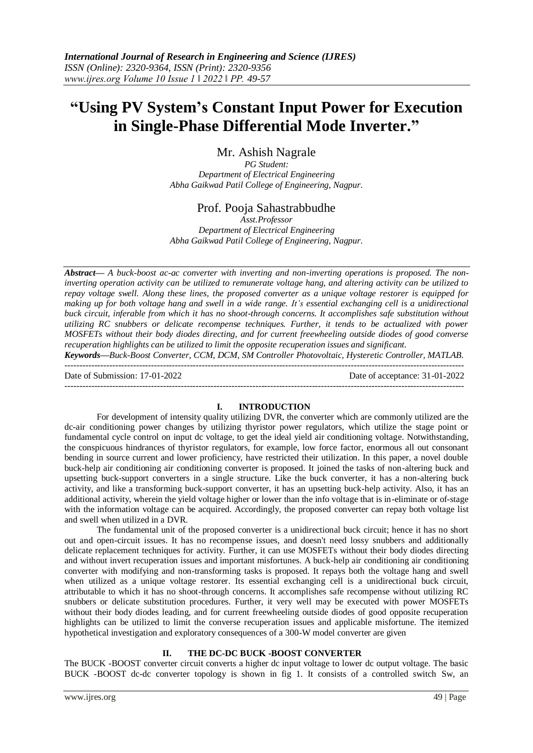# **"Using PV System's Constant Input Power for Execution in Single-Phase Differential Mode Inverter."**

Mr. Ashish Nagrale

*PG Student: Department of Electrical Engineering Abha Gaikwad Patil College of Engineering, Nagpur.*

## Prof. Pooja Sahastrabbudhe

*Asst.Professor Department of Electrical Engineering Abha Gaikwad Patil College of Engineering, Nagpur.*

*Abstract— A buck-boost ac-ac converter with inverting and non-inverting operations is proposed. The noninverting operation activity can be utilized to remunerate voltage hang, and altering activity can be utilized to repay voltage swell. Along these lines, the proposed converter as a unique voltage restorer is equipped for making up for both voltage hang and swell in a wide range. It's essential exchanging cell is a unidirectional buck circuit, inferable from which it has no shoot-through concerns. It accomplishes safe substitution without utilizing RC snubbers or delicate recompense techniques. Further, it tends to be actualized with power MOSFETs without their body diodes directing, and for current freewheeling outside diodes of good converse recuperation highlights can be utilized to limit the opposite recuperation issues and significant.*

*Keywords—Buck-Boost Converter, CCM, DCM, SM Controller Photovoltaic, Hysteretic Controller, MATLAB.*

-------------------------------------------------------------------------------------------------------------------------------------- Date of Submission: 17-01-2022 Date of acceptance: 31-01-2022 --------------------------------------------------------------------------------------------------------------------------------------

### **I. INTRODUCTION**

For development of intensity quality utilizing DVR, the converter which are commonly utilized are the dc-air conditioning power changes by utilizing thyristor power regulators, which utilize the stage point or fundamental cycle control on input dc voltage, to get the ideal yield air conditioning voltage. Notwithstanding, the conspicuous hindrances of thyristor regulators, for example, low force factor, enormous all out consonant bending in source current and lower proficiency, have restricted their utilization. In this paper, a novel double buck-help air conditioning air conditioning converter is proposed. It joined the tasks of non-altering buck and upsetting buck-support converters in a single structure. Like the buck converter, it has a non-altering buck activity, and like a transforming buck-support converter, it has an upsetting buck-help activity. Also, it has an additional activity, wherein the yield voltage higher or lower than the info voltage that is in-eliminate or of-stage with the information voltage can be acquired. Accordingly, the proposed converter can repay both voltage list and swell when utilized in a DVR.

The fundamental unit of the proposed converter is a unidirectional buck circuit; hence it has no short out and open-circuit issues. It has no recompense issues, and doesn't need lossy snubbers and additionally delicate replacement techniques for activity. Further, it can use MOSFETs without their body diodes directing and without invert recuperation issues and important misfortunes. A buck-help air conditioning air conditioning converter with modifying and non-transforming tasks is proposed. It repays both the voltage hang and swell when utilized as a unique voltage restorer. Its essential exchanging cell is a unidirectional buck circuit, attributable to which it has no shoot-through concerns. It accomplishes safe recompense without utilizing RC snubbers or delicate substitution procedures. Further, it very well may be executed with power MOSFETs without their body diodes leading, and for current freewheeling outside diodes of good opposite recuperation highlights can be utilized to limit the converse recuperation issues and applicable misfortune. The itemized hypothetical investigation and exploratory consequences of a 300-W model converter are given

### **II. THE DC-DC BUCK -BOOST CONVERTER**

The BUCK -BOOST converter circuit converts a higher dc input voltage to lower dc output voltage. The basic BUCK -BOOST dc-dc converter topology is shown in fig 1. It consists of a controlled switch Sw, an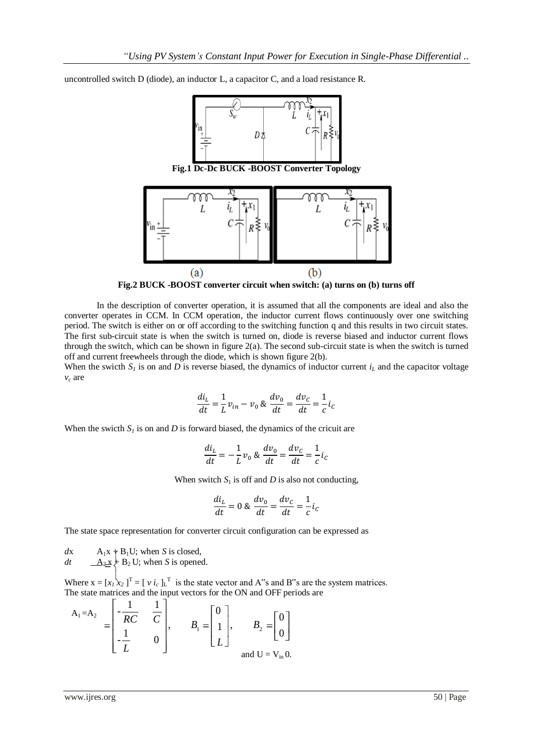uncontrolled switch D (diode), an inductor L, a capacitor C, and a load resistance R.



**Fig.2 BUCK -BOOST converter circuit when switch: (a) turns on (b) turns off**

In the description of converter operation, it is assumed that all the components are ideal and also the converter operates in CCM. In CCM operation, the inductor current flows continuously over one switching period. The switch is either on or off according to the switching function q and this results in two circuit states. The first sub-circuit state is when the switch is turned on, diode is reverse biased and inductor current flows through the switch, which can be shown in figure  $2(a)$ . The second sub-circuit state is when the switch is turned off and current freewheels through the diode, which is shown figure 2(b).

When the swicth  $S_l$  is on and *D* is reverse biased, the dynamics of inductor current  $i_l$  and the capacitor voltage *v<sup>c</sup>* are

$$
\frac{di_L}{dt} = \frac{1}{L}v_{in} - v_0 \& \frac{dv_0}{dt} = \frac{dv_C}{dt} = \frac{1}{c}i_C
$$

When the swicth  $S_I$  is on and *D* is forward biased, the dynamics of the cricuit are

$$
\frac{di_L}{dt} = -\frac{1}{L}v_0 \otimes \frac{dv_0}{dt} = \frac{dv_C}{dt} = \frac{1}{c}i_C
$$

When switch  $S_1$  is off and  $D$  is also not conducting,

$$
\frac{di_L}{dt} = 0 \& \frac{dv_0}{dt} = \frac{dv_C}{dt} = \frac{1}{c}i_C
$$

The state space representation for converter circuit configuration can be expressed as

 $dx$  A<sub>1</sub>x + B<sub>1</sub>U; when *S* is closed,

$$
dt
$$
  $\underline{A_2x} + B_2U$ ; when *S* is opened.

Where  $x = [x_i \ x_2]^\text{T} = [v i_c]^\text{T}$  is the state vector and A"s and B"s are the system matrices. The state matrices and the input vectors for the ON and OFF periods are 1

$$
A_1 = A_2 = \begin{bmatrix} -\frac{1}{RC} & \frac{1}{C} \\ \frac{1}{L} & 0 \end{bmatrix}, \qquad B_1 = \begin{bmatrix} 0 \\ 1 \\ L \end{bmatrix}, \qquad B_2 = \begin{bmatrix} 0 \\ 0 \end{bmatrix}
$$
  
and  $U = V_{in} 0$ .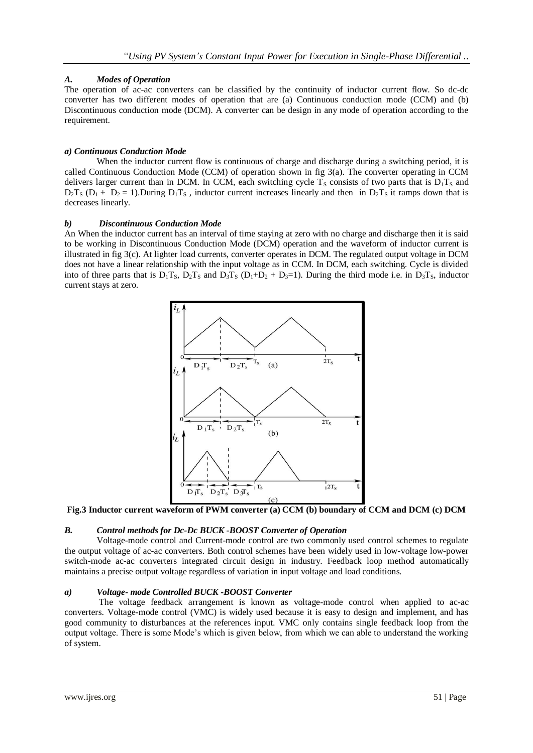## *A. Modes of Operation*

The operation of ac-ac converters can be classified by the continuity of inductor current flow. So dc-dc converter has two different modes of operation that are (a) Continuous conduction mode (CCM) and (b) Discontinuous conduction mode (DCM). A converter can be design in any mode of operation according to the requirement.

## *a) Continuous Conduction Mode*

When the inductor current flow is continuous of charge and discharge during a switching period, it is called Continuous Conduction Mode (CCM) of operation shown in fig 3(a). The converter operating in CCM delivers larger current than in DCM. In CCM, each switching cycle  $T<sub>S</sub>$  consists of two parts that is  $D_1T_S$  and  $D_2T_S (D_1 + D_2 = 1)$ . During  $D_1T_S$ , inductor current increases linearly and then in  $D_2T_S$  it ramps down that is decreases linearly.

### *b) Discontinuous Conduction Mode*

An When the inductor current has an interval of time staying at zero with no charge and discharge then it is said to be working in Discontinuous Conduction Mode (DCM) operation and the waveform of inductor current is illustrated in fig 3(c). At lighter load currents, converter operates in DCM. The regulated output voltage in DCM does not have a linear relationship with the input voltage as in CCM. In DCM, each switching. Cycle is divided into of three parts that is  $D_1T_S$ ,  $D_2T_S$  and  $D_3T_S$  ( $D_1+D_2+D_3=1$ ). During the third mode i.e. in  $D_3T_S$ , inductor current stays at zero.



**Fig.3 Inductor current waveform of PWM converter (a) CCM (b) boundary of CCM and DCM (c) DCM**

## *B. Control methods for Dc-Dc BUCK -BOOST Converter of Operation*

Voltage-mode control and Current-mode control are two commonly used control schemes to regulate the output voltage of ac-ac converters. Both control schemes have been widely used in low-voltage low-power switch-mode ac-ac converters integrated circuit design in industry. Feedback loop method automatically maintains a precise output voltage regardless of variation in input voltage and load conditions.

### *a) Voltage- mode Controlled BUCK -BOOST Converter*

The voltage feedback arrangement is known as voltage-mode control when applied to ac-ac converters. Voltage-mode control (VMC) is widely used because it is easy to design and implement, and has good community to disturbances at the references input. VMC only contains single feedback loop from the output voltage. There is some Mode's which is given below, from which we can able to understand the working of system.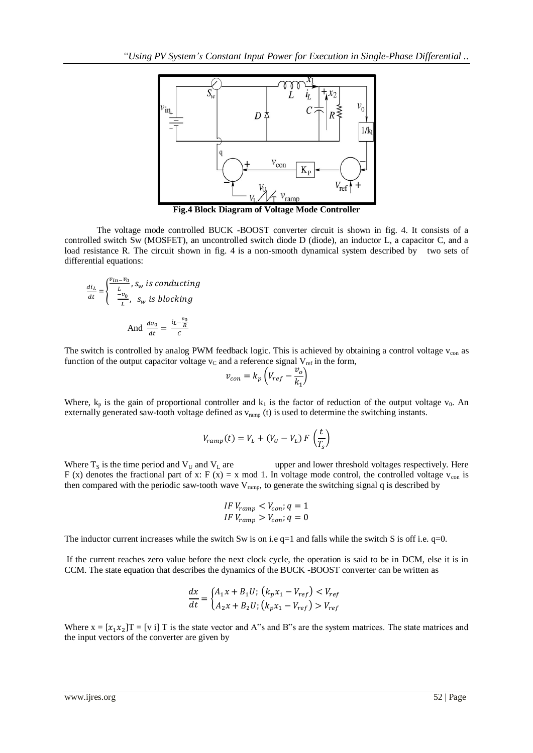

**Fig.4 Block Diagram of Voltage Mode Controller**

The voltage mode controlled BUCK -BOOST converter circuit is shown in fig. 4. It consists of a controlled switch Sw (MOSFET), an uncontrolled switch diode D (diode), an inductor L, a capacitor C, and a load resistance R. The circuit shown in fig. 4 is a non-smooth dynamical system described by two sets of differential equations:

$$
\frac{di_L}{dt} = \begin{cases} \frac{v_{in} - v_0}{L}, s_w \text{ is conducting} \\ \frac{-v_0}{L}, s_w \text{ is blocking} \end{cases}
$$
  
And 
$$
\frac{dv_0}{dt} = \frac{i_L - \frac{v_0}{R}}{c}
$$

The switch is controlled by analog PWM feedback logic. This is achieved by obtaining a control voltage  $v_{\rm con}$  as function of the output capacitor voltage  $v<sub>C</sub>$  and a reference signal  $V<sub>ref</sub>$  in the form,

$$
v_{con} = k_p \left( V_{ref} - \frac{v_o}{k_1} \right)
$$

Where,  $k_p$  is the gain of proportional controller and  $k_1$  is the factor of reduction of the output voltage  $v_0$ . An externally generated saw-tooth voltage defined as  $v_{ramp}$  (t) is used to determine the switching instants.

$$
V_{ramp}(t) = V_L + (V_U - V_L) F\left(\frac{t}{T_s}\right)
$$

Where  $T_s$  is the time period and  $V_U$  and  $V_L$  are upper and lower threshold voltages respectively. Here F (x) denotes the fractional part of x: F (x) = x mod 1. In voltage mode control, the controlled voltage  $v_{con}$  is then compared with the periodic saw-tooth wave  $V_{ramp}$ , to generate the switching signal q is described by

$$
IF\ V_{ramp} < V_{con}; q = 1
$$
\n
$$
IF\ V_{ramp} > V_{con}; q = 0
$$

The inductor current increases while the switch Sw is on i.e  $q=1$  and falls while the switch S is off i.e.  $q=0$ .

If the current reaches zero value before the next clock cycle, the operation is said to be in DCM, else it is in CCM. The state equation that describes the dynamics of the BUCK -BOOST converter can be written as

$$
\frac{dx}{dt} = \begin{cases} A_1 x + B_1 U; & (k_p x_1 - V_{ref}) < V_{ref} \\ A_2 x + B_2 U; & (k_p x_1 - V_{ref}) > V_{ref} \end{cases}
$$

Where  $x = [x_1 x_2]T = [v \text{ i}]T$  is the state vector and A<sup>\*\*</sup>s and B<sup>\*\*</sup>s are the system matrices. The state matrices and the input vectors of the converter are given by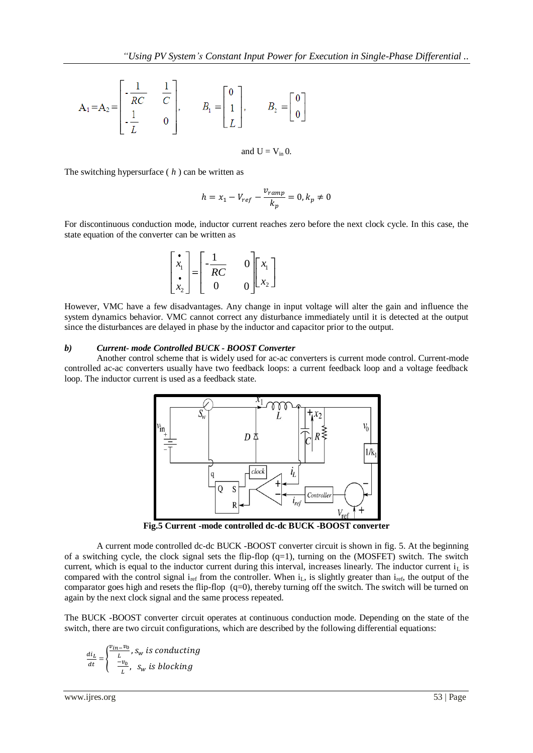$$
A_1 = A_2 = \begin{bmatrix} -\frac{1}{RC} & \frac{1}{C} \\ \frac{1}{L} & 0 \end{bmatrix}, \qquad B_1 = \begin{bmatrix} 0 \\ 1 \\ L \end{bmatrix}, \qquad B_2 = \begin{bmatrix} 0 \\ 0 \end{bmatrix}
$$

and  $U = V_{in} 0$ .

The switching hypersurface ( *h* ) can be written as

$$
h = x_1 - V_{ref} - \frac{v_{ramp}}{k_p} = 0, k_p \neq 0
$$

For discontinuous conduction mode, inductor current reaches zero before the next clock cycle. In this case, the state equation of the converter can be written as

$$
\begin{bmatrix} \mathbf{\dot{x}}_1 \\ \mathbf{\dot{x}}_2 \end{bmatrix} = \begin{bmatrix} -\frac{1}{RC} & 0 \\ 0 & 0 \end{bmatrix} \begin{bmatrix} x_1 \\ x_2 \end{bmatrix}
$$

However, VMC have a few disadvantages. Any change in input voltage will alter the gain and influence the system dynamics behavior. VMC cannot correct any disturbance immediately until it is detected at the output since the disturbances are delayed in phase by the inductor and capacitor prior to the output.

#### *b) Current- mode Controlled BUCK - BOOST Converter*

Another control scheme that is widely used for ac-ac converters is current mode control. Current-mode controlled ac-ac converters usually have two feedback loops: a current feedback loop and a voltage feedback loop. The inductor current is used as a feedback state.



**Fig.5 Current -mode controlled dc-dc BUCK -BOOST converter**

A current mode controlled dc-dc BUCK -BOOST converter circuit is shown in fig. 5. At the beginning of a switching cycle, the clock signal sets the flip-flop  $(q=1)$ , turning on the (MOSFET) switch. The switch current, which is equal to the inductor current during this interval, increases linearly. The inductor current  $i<sub>L</sub>$  is compared with the control signal  $i_{ref}$  from the controller. When  $i_L$ , is slightly greater than  $i_{ref}$ , the output of the comparator goes high and resets the flip-flop  $(q=0)$ , thereby turning off the switch. The switch will be turned on again by the next clock signal and the same process repeated.

The BUCK -BOOST converter circuit operates at continuous conduction mode. Depending on the state of the switch, there are two circuit configurations, which are described by the following differential equations:

$$
\frac{di_L}{dt} = \begin{cases} \frac{v_{in} - v_0}{L}, s_w \text{ is conducting} \\ \frac{-v_0}{L}, s_w \text{ is blocking} \end{cases}
$$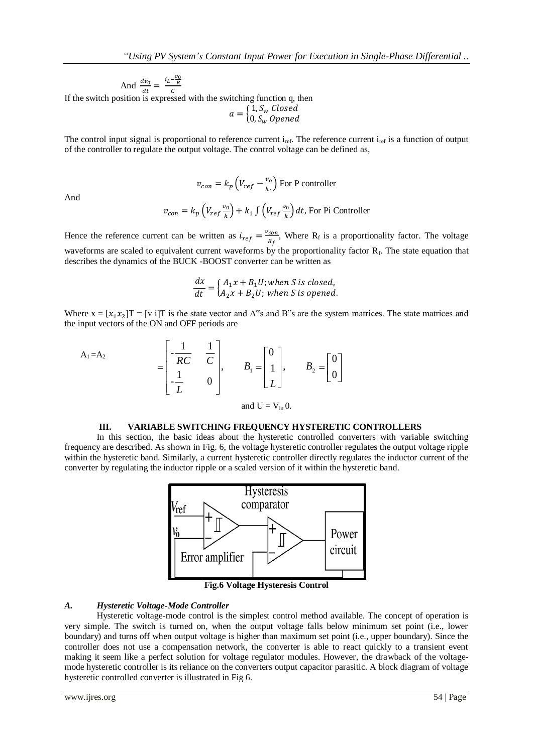$\frac{\nu_0}{k_1}$  For P controller

And  $\frac{dv_0}{dt} = \frac{i_L - \frac{v_C}{R}}{c}$ 

If the switch position is expressed with the switching function q, then

 $a = \begin{cases} 1 \\ 0 \end{cases}$  $\boldsymbol{0}$ 

The control input signal is proportional to reference current  $i_{ref}$ . The reference current  $i_{ref}$  is a function of output of the controller to regulate the output voltage. The control voltage can be defined as,

And

$$
v_{con} = k_p \left( V_{ref} \frac{v_0}{k} \right) + k_1 \int \left( V_{ref} \frac{v_0}{k} \right) dt
$$
, For Pi Controller

 $v_{con} = k_p \left( V_{ref} - \frac{v}{v} \right)$ 

Hence the reference current can be written as  $i_{ref} = \frac{v}{\epsilon}$  $\frac{con}{R_f}$ , Where R<sub>f</sub> is a proportionality factor. The voltage waveforms are scaled to equivalent current waveforms by the proportionality factor  $R_f$ . The state equation that describes the dynamics of the BUCK -BOOST converter can be written as

$$
\frac{dx}{dt} = \begin{cases} A_1x + B_1U; when S is closed, \\ A_2x + B_2U; when S is opened. \end{cases}
$$

Where  $x = [x_1 x_2]T = [v \text{ if }T]$  is the state vector and A<sup>\*\*</sup>s and B<sup>\*\*</sup>s are the system matrices. The state matrices and the input vectors of the ON and OFF periods are

$$
A_1 = A_2
$$
\n
$$
= \begin{bmatrix} -\frac{1}{RC} & \frac{1}{C} \\ \frac{1}{L} & 0 \end{bmatrix}, \qquad B_1 = \begin{bmatrix} 0 \\ 1 \\ L \end{bmatrix}, \qquad B_2 = \begin{bmatrix} 0 \\ 0 \end{bmatrix}
$$
\nand  $U = V_{in} 0$ .

#### **III. VARIABLE SWITCHING FREQUENCY HYSTERETIC CONTROLLERS**

In this section, the basic ideas about the hysteretic controlled converters with variable switching frequency are described. As shown in Fig. 6, the voltage hysteretic controller regulates the output voltage ripple within the hysteretic band. Similarly, a current hysteretic controller directly regulates the inductor current of the converter by regulating the inductor ripple or a scaled version of it within the hysteretic band.



**Fig.6 Voltage Hysteresis Control**

#### *A. Hysteretic Voltage-Mode Controller*

Hysteretic voltage-mode control is the simplest control method available. The concept of operation is very simple. The switch is turned on, when the output voltage falls below minimum set point (i.e., lower boundary) and turns off when output voltage is higher than maximum set point (i.e., upper boundary). Since the controller does not use a compensation network, the converter is able to react quickly to a transient event making it seem like a perfect solution for voltage regulator modules. However, the drawback of the voltagemode hysteretic controller is its reliance on the converters output capacitor parasitic. A block diagram of voltage hysteretic controlled converter is illustrated in Fig 6.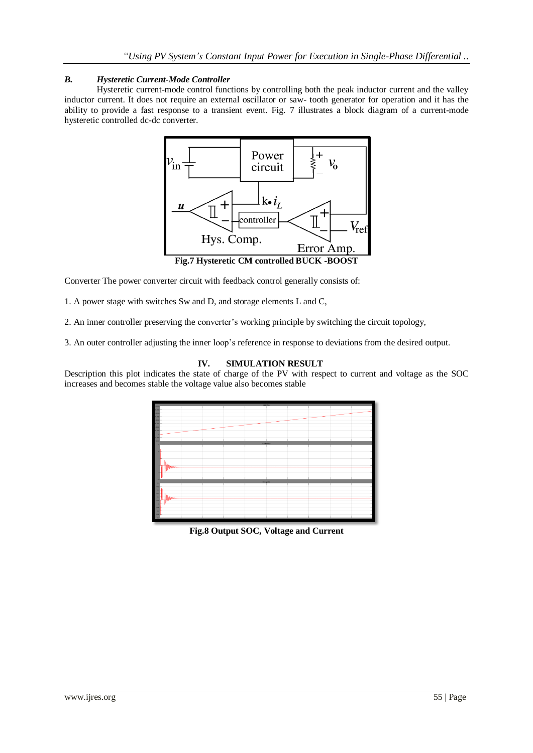## *B. Hysteretic Current-Mode Controller*

Hysteretic current-mode control functions by controlling both the peak inductor current and the valley inductor current. It does not require an external oscillator or saw- tooth generator for operation and it has the ability to provide a fast response to a transient event. Fig. 7 illustrates a block diagram of a current-mode hysteretic controlled dc-dc converter.



Converter The power converter circuit with feedback control generally consists of:

1. A power stage with switches Sw and D, and storage elements L and C,

2. An inner controller preserving the converter's working principle by switching the circuit topology,

3. An outer controller adjusting the inner loop's reference in response to deviations from the desired output.

### **IV. SIMULATION RESULT**

Description this plot indicates the state of charge of the PV with respect to current and voltage as the SOC increases and becomes stable the voltage value also becomes stable



**Fig.8 Output SOC, Voltage and Current**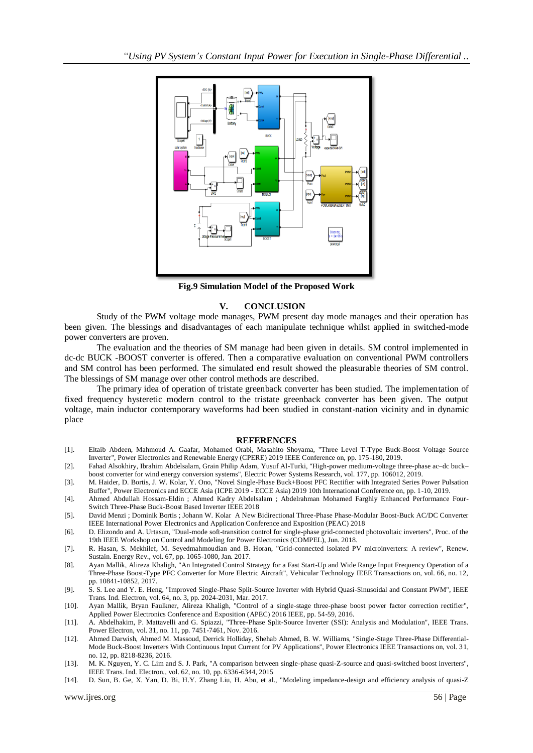

**Fig.9 Simulation Model of the Proposed Work**

#### **V. CONCLUSION**

Study of the PWM voltage mode manages, PWM present day mode manages and their operation has been given. The blessings and disadvantages of each manipulate technique whilst applied in switched-mode power converters are proven.

The evaluation and the theories of SM manage had been given in details. SM control implemented in dc-dc BUCK -BOOST converter is offered. Then a comparative evaluation on conventional PWM controllers and SM control has been performed. The simulated end result showed the pleasurable theories of SM control. The blessings of SM manage over other control methods are described.

The primary idea of operation of tristate greenback converter has been studied. The implementation of fixed frequency hysteretic modern control to the tristate greenback converter has been given. The output voltage, main inductor contemporary waveforms had been studied in constant-nation vicinity and in dynamic place

#### **REFERENCES**

- [1]. Eltaib Abdeen, Mahmoud A. Gaafar, Mohamed Orabi, Masahito Shoyama, "Three Level T-Type Buck-Boost Voltage Source Inverter", Power Electronics and Renewable Energy (CPERE) 2019 IEEE Conference on, pp. 175-180, 2019.
- [2]. Fahad Alsokhiry, Ibrahim Abdelsalam, Grain Philip Adam, Yusuf Al-Turki, "High-power medium-voltage three-phase ac–dc buck– boost converter for wind energy conversion systems", Electric Power Systems Research, vol. 177, pp. 106012, 2019.
- [3]. M. Haider, D. Bortis, J. W. Kolar, Y. Ono, "Novel Single-Phase Buck+Boost PFC Rectifier with Integrated Series Power Pulsation Buffer", Power Electronics and ECCE Asia (ICPE 2019 - ECCE Asia) 2019 10th International Conference on, pp. 1-10, 2019.
- [4]. Ahmed Abdullah Hossam-Eldin ; Ahmed Kadry Abdelsalam ; Abdelrahman Mohamed Farghly Enhanced Performance Four-Switch Three-Phase Buck-Boost Based Inverter IEEE 2018
- [5]. David Menzi ; Dominik Bortis ; Johann W. Kolar A New Bidirectional Three-Phase Phase-Modular Boost-Buck AC/DC Converter IEEE International Power Electronics and Application Conference and Exposition (PEAC) 2018
- [6]. D. Elizondo and A. Urtasun, "Dual-mode soft-transition control for single-phase grid-connected photovoltaic inverters", Proc. of the 19th IEEE Workshop on Control and Modeling for Power Electronics (COMPEL), Jun. 2018.
- [7]. R. Hasan, S. Mekhilef, M. Seyedmahmoudian and B. Horan, "Grid-connected isolated PV microinverters: A review", Renew. Sustain. Energy Rev., vol. 67, pp. 1065-1080, Jan. 2017.
- [8]. Ayan Mallik, Alireza Khaligh, "An Integrated Control Strategy for a Fast Start-Up and Wide Range Input Frequency Operation of a Three-Phase Boost-Type PFC Converter for More Electric Aircraft", Vehicular Technology IEEE Transactions on, vol. 66, no. 12, pp. 10841-10852, 2017.
- [9]. S. S. Lee and Y. E. Heng, "Improved Single-Phase Split-Source Inverter with Hybrid Quasi-Sinusoidal and Constant PWM", IEEE Trans. Ind. Electron, vol. 64, no. 3, pp. 2024-2031, Mar. 2017.
- [10]. Ayan Mallik, Bryan Faulkner, Alireza Khaligh, "Control of a single-stage three-phase boost power factor correction rectifier", Applied Power Electronics Conference and Exposition (APEC) 2016 IEEE, pp. 54-59, 2016.
- [11]. A. Abdelhakim, P. Mattavelli and G. Spiazzi, "Three-Phase Split-Source Inverter (SSI): Analysis and Modulation", IEEE Trans. Power Electron, vol. 31, no. 11, pp. 7451-7461, Nov. 2016.
- [12]. Ahmed Darwish, Ahmed M. Massoud, Derrick Holliday, Shehab Ahmed, B. W. Williams, "Single-Stage Three-Phase Differential-Mode Buck-Boost Inverters With Continuous Input Current for PV Applications", Power Electronics IEEE Transactions on, vol. 31, no. 12, pp. 8218-8236, 2016.
- [13]. M. K. Nguyen, Y. C. Lim and S. J. Park, "A comparison between single-phase quasi-Z-source and quasi-switched boost inverters", IEEE Trans. Ind. Electron., vol. 62, no. 10, pp. 6336-6344, 2015
- [14]. D. Sun, B. Ge, X. Yan, D. Bi, H.Y. Zhang Liu, H. Abu, et al., "Modeling impedance-design and efficiency analysis of quasi-Z